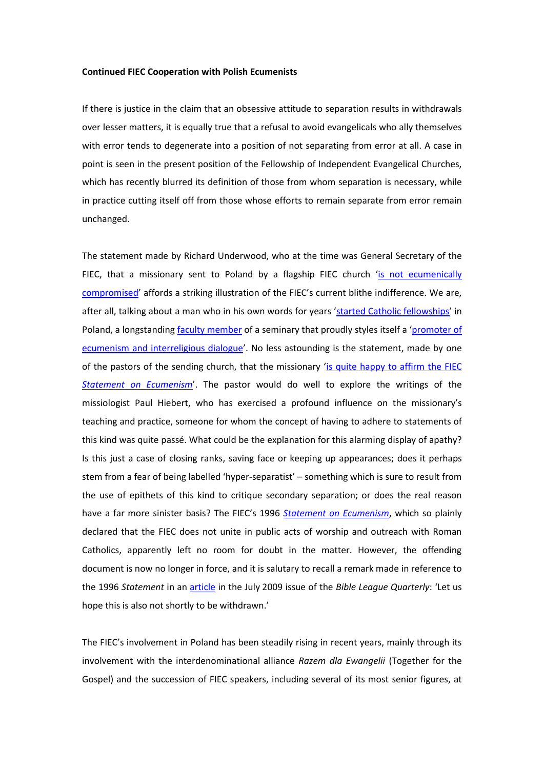## **Continued FIEC Cooperation with Polish Ecumenists**

If there is justice in the claim that an obsessive attitude to separation results in withdrawals over lesser matters, it is equally true that a refusal to avoid evangelicals who ally themselves with error tends to degenerate into a position of not separating from error at all. A case in point is seen in the present position of the Fellowship of Independent Evangelical Churches, which has recently blurred its definition of those from whom separation is necessary, while in practice cutting itself off from those whose efforts to remain separate from error remain unchanged.

The statement made by Richard Underwood, who at the time was General Secretary of the FIEC, that a missionary sent to Poland by a flagship FIEC church '[is not ecumenically](http://www.strateias.org/verdict.htm)  [compromised](http://www.strateias.org/verdict.htm)' affords a striking illustration of the FIEC's current blithe indifference. We are, after all, talking about a man who in his own words for years '[started Catholic fellowships](http://www.strateias.org/central.doc)' in Poland, a longstanding **faculty member** of a seminary that proudly styles itself a 'promoter of [ecumenism and interreligious dialogue](http://www.fkp.ewst.pl/organizatorzy/ewst/)'. No less astounding is the statement, made by one of the pastors of the sending church, that the missionary '[is quite happy to affirm](http://www.strateias.org/careyreport.htm) the FIEC *[Statement on Ecumenism](http://www.strateias.org/careyreport.htm)*'. The pastor would do well to explore the writings of the missiologist Paul Hiebert, who has exercised a profound influence on the missionary's teaching and practice, someone for whom the concept of having to adhere to statements of this kind was quite passé. What could be the explanation for this alarming display of apathy? Is this just a case of closing ranks, saving face or keeping up appearances; does it perhaps stem from a fear of being labelled 'hyper-separatist' – something which is sure to result from the use of epithets of this kind to critique secondary separation; or does the real reason have a far more sinister basis? The FIEC's 1996 *[Statement on Ecumenism](http://www.strateias.org/96statement.htm)*, which so plainly declared that the FIEC does not unite in public acts of worship and outreach with Roman Catholics, apparently left no room for doubt in the matter. However, the offending document is now no longer in force, and it is salutary to recall a remark made in reference to the 1996 *Statement* in an [article](http://www.strateias.org/downgrade.pdf) in the July 2009 issue of the *Bible League Quarterly*: 'Let us hope this is also not shortly to be withdrawn.'

The FIEC's involvement in Poland has been steadily rising in recent years, mainly through its involvement with the interdenominational alliance *Razem dla Ewangelii* (Together for the Gospel) and the succession of FIEC speakers, including several of its most senior figures, at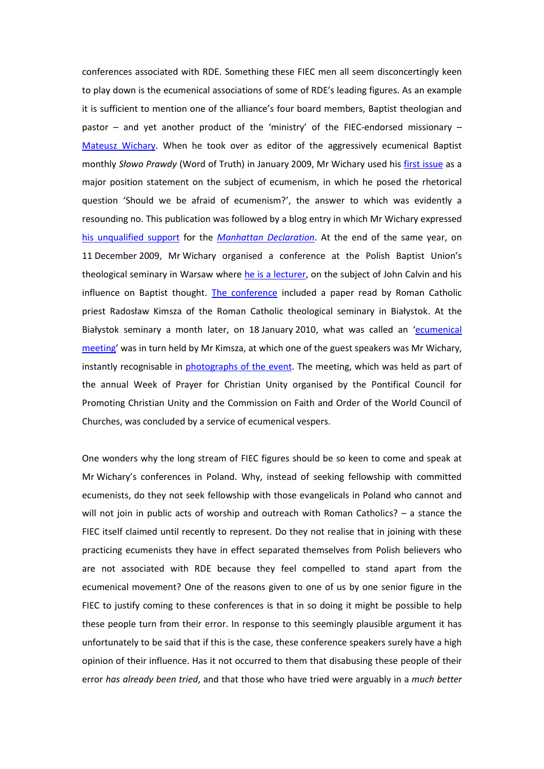conferences associated with RDE. Something these FIEC men all seem disconcertingly keen to play down is the ecumenical associations of some of RDE's leading figures. As an example it is sufficient to mention one of the alliance's four board members, Baptist theologian and pastor – and yet another product of the 'ministry' of the FIEC-endorsed missionary – [Mateusz Wichary.](http://www.razemdlaewangelii.pl/together-for-the-gospel) When he took over as editor of the aggressively ecumenical Baptist monthly *Słowo Prawdy* (Word of Truth) in January 2009, Mr Wichary used his [first issue](http://baptysci.ca/pkchb/multimedia/sp/sp_2009_01-02.pdf) as a major position statement on the subject of ecumenism, in which he posed the rhetorical question 'Should we be afraid of ecumenism?', the answer to which was evidently a resounding no. This publication was followed by a blog entry in which Mr Wichary expressed [his unqualified support](http://proteologia.wordpress.com/2009/11/24/deklaracja-manhattanska/) for the *[Manhattan Declaration](http://www.manhattandeclaration.org/the-declaration/read.aspx)*. At the end of the same year, on 11 December 2009, Mr Wichary organised a conference at the Polish Baptist Union's theological seminary in Warsaw where he [is a lecturer,](http://www.wbst.edu.pl/viewpage.php?page_id=4) on the subject of John Calvin and his influence on Baptist thought. [The conference](http://baptysci.ca/pkchb/multimedia/sp/sp_2010_01.pdf) included a paper read by Roman Catholic priest Radosław Kimsza of the Roman Catholic theological seminary in Białystok. At the Białystok seminary a month later, on 18 January 2010, what was called an 'ecumenical [meeting](http://www.archibial.pl/ogloszenia.php?ogl=254)' was in turn held by Mr Kimsza, at which one of the guest speakers was Mr Wichary, instantly recognisable in photographs [of the event.](http://peternicholson.my.proz.com/FIEC/1.jpg) The meeting, which was held as part of the annual Week of Prayer for Christian Unity organised by the Pontifical Council for Promoting Christian Unity and the Commission on Faith and Order of the World Council of Churches, was concluded by a service of ecumenical vespers.

One wonders why the long stream of FIEC figures should be so keen to come and speak at Mr Wichary's conferences in Poland. Why, instead of seeking fellowship with committed ecumenists, do they not seek fellowship with those evangelicals in Poland who cannot and will not join in public acts of worship and outreach with Roman Catholics? - a stance the FIEC itself claimed until recently to represent. Do they not realise that in joining with these practicing ecumenists they have in effect separated themselves from Polish believers who are not associated with RDE because they feel compelled to stand apart from the ecumenical movement? One of the reasons given to one of us by one senior figure in the FIEC to justify coming to these conferences is that in so doing it might be possible to help these people turn from their error. In response to this seemingly plausible argument it has unfortunately to be said that if this is the case, these conference speakers surely have a high opinion of their influence. Has it not occurred to them that disabusing these people of their error *has already been tried*, and that those who have tried were arguably in a *much better*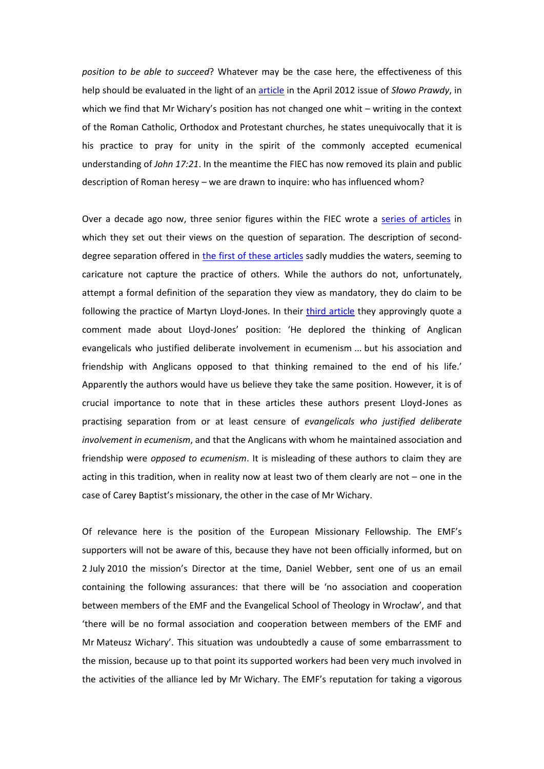*position to be able to succeed*? Whatever may be the case here, the effectiveness of this help should be evaluated in the light of an [article](http://peternicholson.my.proz.com/FIEC/MW.pdf) in the April 2012 issue of *Słowo Prawdy*, in which we find that Mr Wichary's position has not changed one whit – writing in the context of the Roman Catholic, Orthodox and Protestant churches, he states unequivocally that it is his practice to pray for unity in the spirit of the commonly accepted ecumenical understanding of *John 17:21*. In the meantime the FIEC has now removed its plain and public description of Roman heresy – we are drawn to inquire: who has influenced whom?

Over a decade ago now, three senior figures within the FIEC wrote a [series of articles](http://www.e-n.org.uk/searchpage.php?term=hyper-separatism) in which they set out their views on the question of separation. The description of seconddegree separation offered in [the first of these articles](http://www.e-n.org.uk/1302-Hyper-separatism-(or-contracting-the-circle).htm) sadly muddies the waters, seeming to caricature not capture the practice of others. While the authors do not, unfortunately, attempt a formal definition of the separation they view as mandatory, they do claim to be following the practice of Martyn Lloyd-Jones. In their [third article](http://www.e-n.org.uk/1350-Hyper-separatism-no-way-forward.htm) they approvingly quote a comment made about Lloyd-Jones' position: 'He deplored the thinking of Anglican evangelicals who justified deliberate involvement in ecumenism ... but his association and friendship with Anglicans opposed to that thinking remained to the end of his life.' Apparently the authors would have us believe they take the same position. However, it is of crucial importance to note that in these articles these authors present Lloyd-Jones as practising separation from or at least censure of *evangelicals who justified deliberate involvement in ecumenism*, and that the Anglicans with whom he maintained association and friendship were *opposed to ecumenism*. It is misleading of these authors to claim they are acting in this tradition, when in reality now at least two of them clearly are not – one in the case of Carey Baptist's missionary, the other in the case of Mr Wichary.

Of relevance here is the position of the European Missionary Fellowship. The EMF's supporters will not be aware of this, because they have not been officially informed, but on 2 July 2010 the mission's Director at the time, Daniel Webber, sent one of us an email containing the following assurances: that there will be 'no association and cooperation between members of the EMF and the Evangelical School of Theology in Wrocław', and that 'there will be no formal association and cooperation between members of the EMF and Mr Mateusz Wichary'. This situation was undoubtedly a cause of some embarrassment to the mission, because up to that point its supported workers had been very much involved in the activities of the alliance led by Mr Wichary. The EMF's reputation for taking a vigorous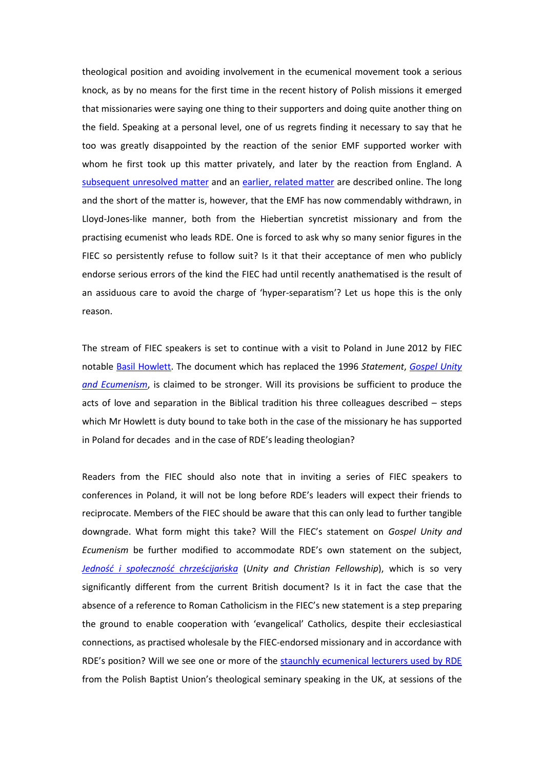theological position and avoiding involvement in the ecumenical movement took a serious knock, as by no means for the first time in the recent history of Polish missions it emerged that missionaries were saying one thing to their supporters and doing quite another thing on the field. Speaking at a personal level, one of us regrets finding it necessary to say that he too was greatly disappointed by the reaction of the senior EMF supported worker with whom he first took up this matter privately, and later by the reaction from England. A [subsequent unresolved matter](http://www.strateias.org/emf1.htm) and an [earlier, related matter](http://www.strateias.org/sga.htm) are described online. The long and the short of the matter is, however, that the EMF has now commendably withdrawn, in Lloyd-Jones-like manner, both from the Hiebertian syncretist missionary and from the practising ecumenist who leads RDE. One is forced to ask why so many senior figures in the FIEC so persistently refuse to follow suit? Is it that their acceptance of men who publicly endorse serious errors of the kind the FIEC had until recently anathematised is the result of an assiduous care to avoid the charge of 'hyper-separatism'? Let us hope this is the only reason.

The stream of FIEC speakers is set to continue with a visit to Poland in June 2012 by FIEC notable [Basil Howlett.](http://www.razemdlaewangelii.pl/aktualnosci/571-konferencja-rde-2012) The document which has replaced the 1996 *Statement*, *[Gospel Unity](http://www.fiec.org.uk/resources/article/gospel-unity-statement)  [and Ecumenism](http://www.fiec.org.uk/resources/article/gospel-unity-statement)*, is claimed to be stronger. Will its provisions be sufficient to produce the acts of love and separation in the Biblical tradition his three colleagues described – steps which Mr Howlett is duty bound to take both in the case of the missionary he has supported in Poland for decades and in the case of RDE's leading theologian?

Readers from the FIEC should also note that in inviting a series of FIEC speakers to conferences in Poland, it will not be long before RDE's leaders will expect their friends to reciprocate. Members of the FIEC should be aware that this can only lead to further tangible downgrade. What form might this take? Will the FIEC's statement on *Gospel Unity and Ecumenism* be further modified to accommodate RDE's own statement on the subject, *[Jedność i społeczność chrześcijańska](http://www.razemdlaewangelii.pl/images/stories/zalacz/Jednosc_i_spolecznosc_chrzescijanska.pdf)* (*Unity and Christian Fellowship*), which is so very significantly different from the current British document? Is it in fact the case that the absence of a reference to Roman Catholicism in the FIEC's new statement is a step preparing the ground to enable cooperation with 'evangelical' Catholics, despite their ecclesiastical connections, as practised wholesale by the FIEC-endorsed missionary and in accordance with RDE's position? Will we see one or more of the [staunchly ecumenical lecturers used by RDE](http://razemdlaewangelii.pl/aktualnosci/405-konferencja-list-do-tytusa) from the Polish Baptist Union's theological seminary speaking in the UK, at sessions of the